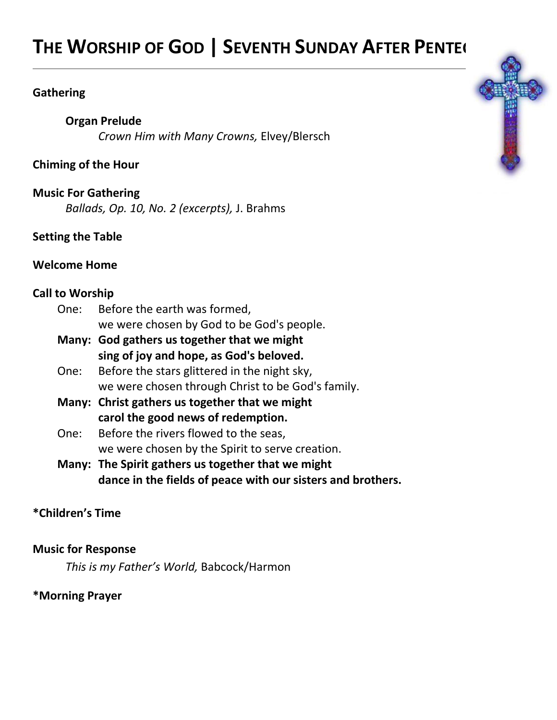# **THE WORSHIP OF GOD | SEVENTH SUNDAY AFTER PENTECOST**

#### **Gathering**

# **Organ Prelude**

*Crown Him with Many Crowns,* Elvey/Blersch

# **Chiming of the Hour**

## **Music For Gathering**

*Ballads, Op. 10, No. 2 (excerpts),* J. Brahms

# **Setting the Table**

#### **Welcome Home**

## **Call to Worship**

| One: Before the earth was formed,         |
|-------------------------------------------|
| we were chosen by God to be God's people. |

- **Many: God gathers us together that we might sing of joy and hope, as God's beloved.**
- One: Before the stars glittered in the night sky, we were chosen through Christ to be God's family.
- **Many: Christ gathers us together that we might carol the good news of redemption.**
- One: Before the rivers flowed to the seas, we were chosen by the Spirit to serve creation.
- **Many: The Spirit gathers us together that we might dance in the fields of peace with our sisters and brothers.**

# **\*Children's Time**

## **Music for Response**

*This is my Father's World,* Babcock/Harmon

## **\*Morning Prayer**